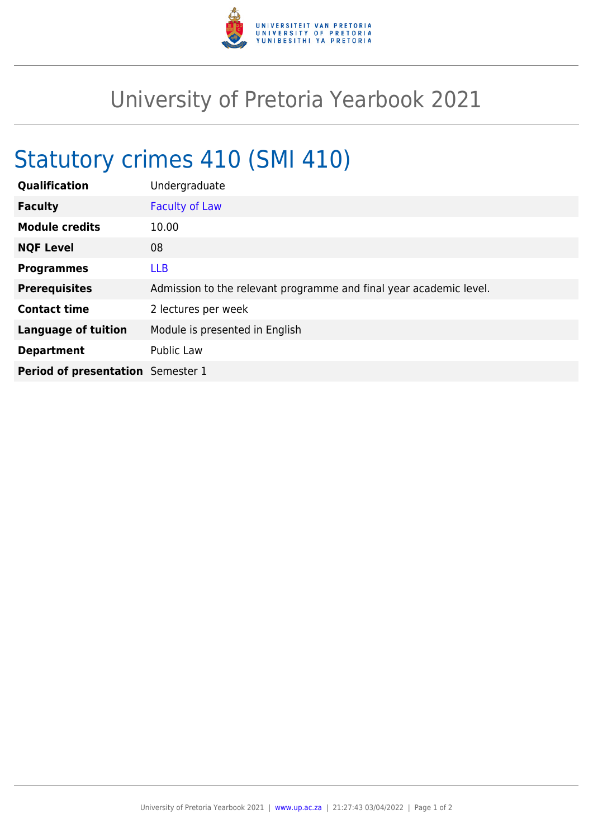

## University of Pretoria Yearbook 2021

## Statutory crimes 410 (SMI 410)

| Qualification                            | Undergraduate                                                      |
|------------------------------------------|--------------------------------------------------------------------|
| <b>Faculty</b>                           | <b>Faculty of Law</b>                                              |
| <b>Module credits</b>                    | 10.00                                                              |
| <b>NQF Level</b>                         | 08                                                                 |
| <b>Programmes</b>                        | <b>LLB</b>                                                         |
| <b>Prerequisites</b>                     | Admission to the relevant programme and final year academic level. |
| <b>Contact time</b>                      | 2 lectures per week                                                |
| <b>Language of tuition</b>               | Module is presented in English                                     |
| <b>Department</b>                        | Public Law                                                         |
| <b>Period of presentation</b> Semester 1 |                                                                    |